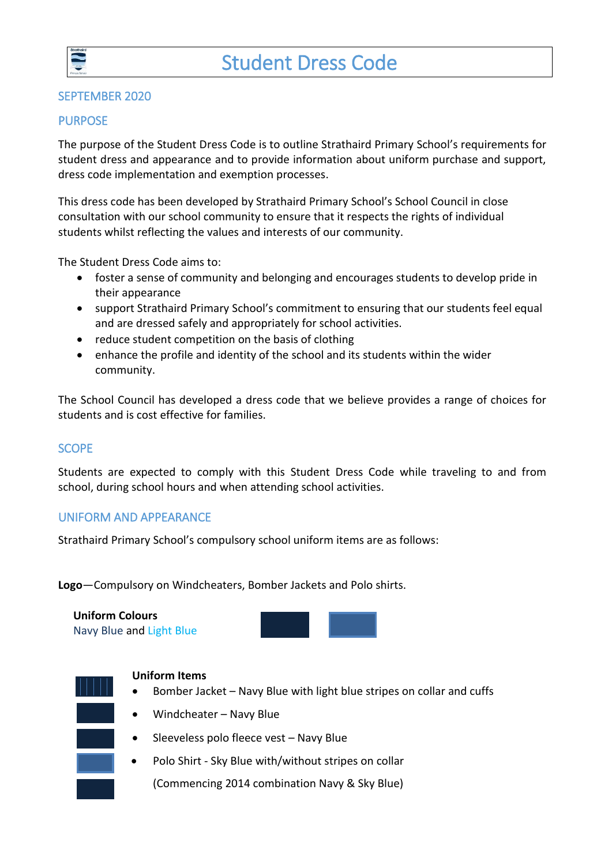

#### SEPTEMBER 2020

#### PURPOSE

The purpose of the Student Dress Code is to outline Strathaird Primary School's requirements for student dress and appearance and to provide information about uniform purchase and support, dress code implementation and exemption processes.

This dress code has been developed by Strathaird Primary School's School Council in close consultation with our school community to ensure that it respects the rights of individual students whilst reflecting the values and interests of our community.

The Student Dress Code aims to:

- foster a sense of community and belonging and encourages students to develop pride in their appearance
- support Strathaird Primary School's commitment to ensuring that our students feel equal and are dressed safely and appropriately for school activities.
- reduce student competition on the basis of clothing
- enhance the profile and identity of the school and its students within the wider community.

The School Council has developed a dress code that we believe provides a range of choices for students and is cost effective for families.

# SCOPE

Students are expected to comply with this Student Dress Code while traveling to and from school, during school hours and when attending school activities.

# UNIFORM AND APPEARANCE

Strathaird Primary School's compulsory school uniform items are as follows:

**Logo**—Compulsory on Windcheaters, Bomber Jackets and Polo shirts.

# **Uniform Colours**

Navy Blue and Light Blue



- Windcheater Navy Blue
- Sleeveless polo fleece vest Navy Blue
- Polo Shirt Sky Blue with/without stripes on collar

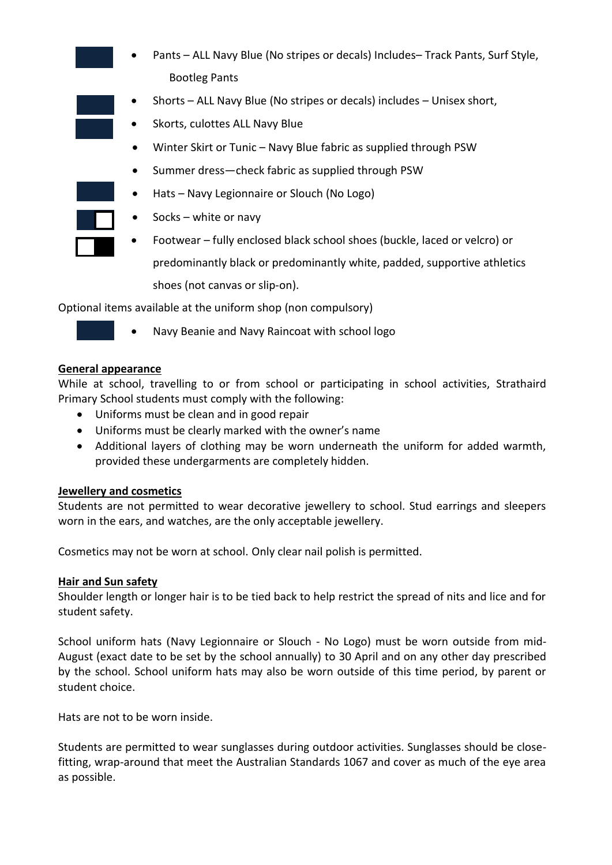- Pants ALL Navy Blue (No stripes or decals) Includes– Track Pants, Surf Style, Bootleg Pants
- Shorts ALL Navy Blue (No stripes or decals) includes Unisex short,
	- Skorts, culottes ALL Navy Blue
	- Winter Skirt or Tunic Navy Blue fabric as supplied through PSW
	- Summer dress—check fabric as supplied through PSW
- Hats Navy Legionnaire or Slouch (No Logo)
- Socks white or navy
- Footwear fully enclosed black school shoes (buckle, laced or velcro) or predominantly black or predominantly white, padded, supportive athletics shoes (not canvas or slip-on).

Optional items available at the uniform shop (non compulsory)

- 
- Navy Beanie and Navy Raincoat with school logo

#### **General appearance**

While at school, travelling to or from school or participating in school activities, Strathaird Primary School students must comply with the following:

- Uniforms must be clean and in good repair
- Uniforms must be clearly marked with the owner's name
- Additional layers of clothing may be worn underneath the uniform for added warmth, provided these undergarments are completely hidden.

#### **Jewellery and cosmetics**

Students are not permitted to wear decorative jewellery to school. Stud earrings and sleepers worn in the ears, and watches, are the only acceptable jewellery.

Cosmetics may not be worn at school. Only clear nail polish is permitted.

#### **Hair and Sun safety**

Shoulder length or longer hair is to be tied back to help restrict the spread of nits and lice and for student safety.

School uniform hats (Navy Legionnaire or Slouch - No Logo) must be worn outside from mid-August (exact date to be set by the school annually) to 30 April and on any other day prescribed by the school. School uniform hats may also be worn outside of this time period, by parent or student choice.

Hats are not to be worn inside.

Students are permitted to wear sunglasses during outdoor activities. Sunglasses should be closefitting, wrap-around that meet the Australian Standards 1067 and cover as much of the eye area as possible.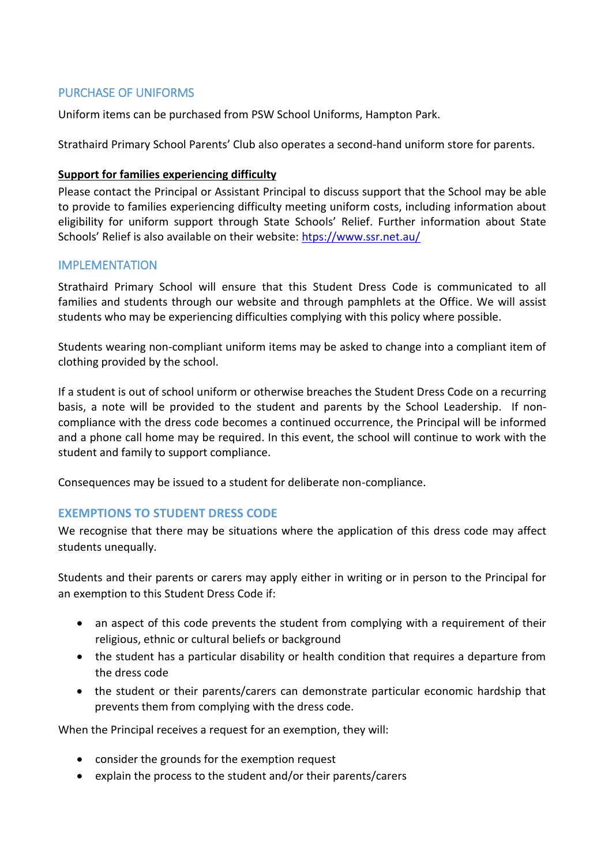# PURCHASE OF UNIFORMS

Uniform items can be purchased from PSW School Uniforms, Hampton Park.

Strathaird Primary School Parents' Club also operates a second-hand uniform store for parents.

#### **Support for families experiencing difficulty**

Please contact the Principal or Assistant Principal to discuss support that the School may be able to provide to families experiencing difficulty meeting uniform costs, including information about eligibility for uniform support through State Schools' Relief. Further information about State Schools' Relief is also available on their website: [htps://www.ssr.net.au/](https://www.ssr.net.au/)

# IMPLEMENTATION

Strathaird Primary School will ensure that this Student Dress Code is communicated to all families and students through our website and through pamphlets at the Office. We will assist students who may be experiencing difficulties complying with this policy where possible.

Students wearing non-compliant uniform items may be asked to change into a compliant item of clothing provided by the school.

If a student is out of school uniform or otherwise breaches the Student Dress Code on a recurring basis, a note will be provided to the student and parents by the School Leadership. If noncompliance with the dress code becomes a continued occurrence, the Principal will be informed and a phone call home may be required. In this event, the school will continue to work with the student and family to support compliance.

Consequences may be issued to a student for deliberate non-compliance.

# **EXEMPTIONS TO STUDENT DRESS CODE**

We recognise that there may be situations where the application of this dress code may affect students unequally.

Students and their parents or carers may apply either in writing or in person to the Principal for an exemption to this Student Dress Code if:

- an aspect of this code prevents the student from complying with a requirement of their religious, ethnic or cultural beliefs or background
- the student has a particular disability or health condition that requires a departure from the dress code
- the student or their parents/carers can demonstrate particular economic hardship that prevents them from complying with the dress code.

When the Principal receives a request for an exemption, they will:

- consider the grounds for the exemption request
- explain the process to the student and/or their parents/carers